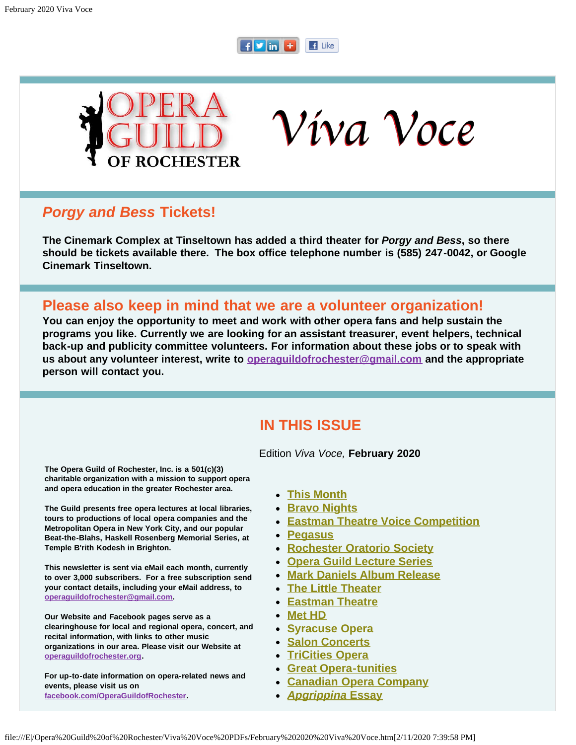#### $F$  in  $F$  $\blacksquare$  Like



Víva Voce

## *Porgy and Bess* **Tickets!**

**The Cinemark Complex at Tinseltown has added a third theater for** *Porgy and Bess***, so there should be tickets available there. The box office telephone number is (585) 247-0042, or Google Cinemark Tinseltown.** 

## **Please also keep in mind that we are a volunteer organization!**

**You can enjoy the opportunity to meet and work with other opera fans and help sustain the programs you like. Currently we are looking for an assistant treasurer, event helpers, technical back-up and publicity committee volunteers. For information about these jobs or to speak with us about any volunteer interest, write to [operaguildofrochester@gmail.com](mailto:operaguildofrochester@gmail.com) and the appropriate person will contact you.**

## **IN THIS ISSUE**

Edition *Viva Voce,* **February 2020**

<span id="page-0-0"></span>**The Opera Guild of Rochester, Inc. is a 501(c)(3) charitable organization with a mission to support opera and opera education in the greater Rochester area.**

**The Guild presents free opera lectures at local libraries, tours to productions of local opera companies and the Metropolitan Opera in New York City, and our popular Beat-the-Blahs, Haskell Rosenberg Memorial Series, at Temple B'rith Kodesh in Brighton.**

**This newsletter is sent via eMail each month, currently to over 3,000 subscribers. For a free subscription send your contact details, including your eMail address, to [operaguildofrochester@gmail.com](mailto:operaguildofrochester@gmail.com).**

**Our Website and Facebook pages serve as a clearinghouse for local and regional opera, concert, and recital information, with links to other music organizations in our area. Please visit our Website at [operaguildofrochester.org](http://operaguildofrochester.org/).**

**For up-to-date information on opera-related news and events, please visit us on [facebook.com/OperaGuildofRochester](http://facebook.com/OperaGuildofRochester).**

**[This Month](#page-1-0)**

- **[Bravo Nights](#page-2-0)**
- **[Eastman Theatre Voice Competition](#page-3-0)**
- **[Pegasus](#page-3-1)**
- **[Rochester Oratorio Society](#page-4-0)**
- **[Opera Guild Lecture Series](#page-5-0)**
- **[Mark Daniels Album Release](#page-6-0)**
- **[The Little Theater](#page-6-1)**
- **[Eastman Theatre](#page-6-2)**
- **[Met HD](#page-7-0)**
- **[Syracuse Opera](#page-8-0)**
- **[Salon Concerts](#page-9-0)**
- **[TriCities Opera](#page-10-0)**
- **[Great Opera-tunities](#page-10-1)**
- **[Canadian Opera Company](#page-11-0)**
- *[Apgrippina](#page-11-1)* **[Essay](#page-11-1)**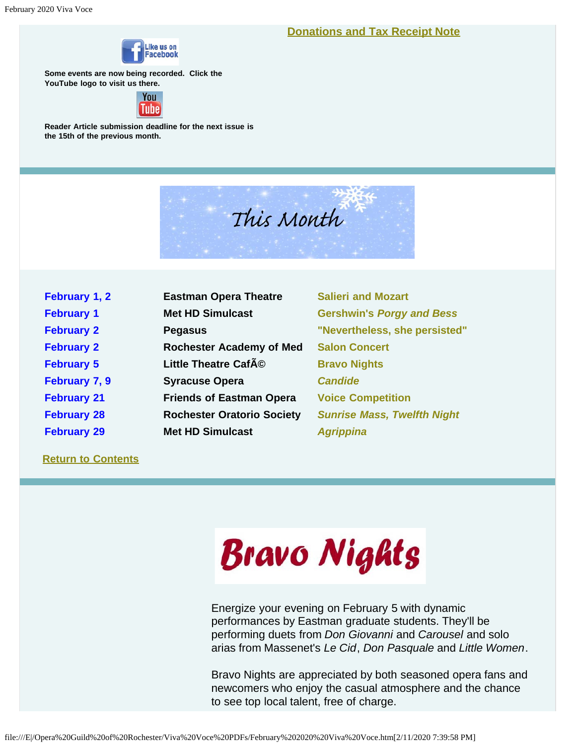**[Donations and Tax Receipt Note](#page-12-0)**



**Some events are now being recorded. Click the YouTube logo to visit us there.**



<span id="page-1-0"></span>**Reader Article submission deadline for the next issue is the 15th of the previous month.**



| February 1, 2      | <b>Eastman Opera Theatre</b>      | <b>Salieri and Mozart</b>          |
|--------------------|-----------------------------------|------------------------------------|
| <b>February 1</b>  | <b>Met HD Simulcast</b>           | <b>Gershwin's Porgy and Bess</b>   |
| <b>February 2</b>  | <b>Pegasus</b>                    | "Nevertheless, she persisted"      |
| <b>February 2</b>  | <b>Rochester Academy of Med</b>   | <b>Salon Concert</b>               |
| <b>February 5</b>  | Little Theatre CafAO              | <b>Bravo Nights</b>                |
| February 7, 9      | <b>Syracuse Opera</b>             | <b>Candide</b>                     |
| <b>February 21</b> | <b>Friends of Eastman Opera</b>   | <b>Voice Competition</b>           |
| <b>February 28</b> | <b>Rochester Oratorio Society</b> | <b>Sunrise Mass, Twelfth Night</b> |
| <b>February 29</b> | <b>Met HD Simulcast</b>           | <b>Agrippina</b>                   |

**[Return to Contents](#page-0-0)**



Energize your evening on February 5 with dynamic performances by Eastman graduate students. They'll be performing duets from *Don Giovanni* and *Carousel* and solo arias from Massenet's *Le Cid*, *Don Pasquale* and *Little Women*.

Bravo Nights are appreciated by both seasoned opera fans and newcomers who enjoy the casual atmosphere and the chance to see top local talent, free of charge.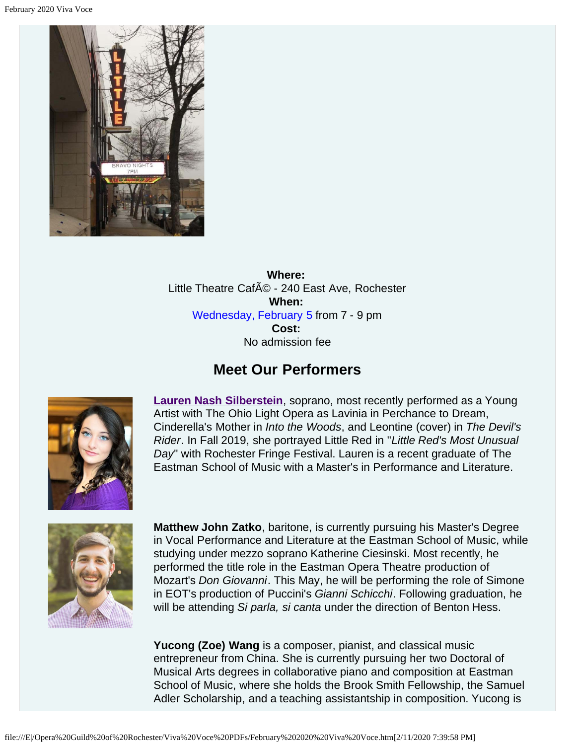<span id="page-2-0"></span>

**Where:** Little Theatre Café - 240 East Ave, Rochester **When:** Wednesday, February 5 from 7 - 9 pm **Cost:** No admission fee

## **Meet Our Performers**



**[Lauren Nash Silberstein](https://www.youtube.com/watch?v=W4ESbuHcfwU)**, soprano, most recently performed as a Young Artist with The Ohio Light Opera as Lavinia in Perchance to Dream, Cinderella's Mother in *Into the Woods*, and Leontine (cover) in *The Devil's Rider*. In Fall 2019, she portrayed Little Red in "*Little Red's Most Unusual Day*" with Rochester Fringe Festival. Lauren is a recent graduate of The Eastman School of Music with a Master's in Performance and Literature.



**Matthew John Zatko**, baritone, is currently pursuing his Master's Degree in Vocal Performance and Literature at the Eastman School of Music, while studying under mezzo soprano Katherine Ciesinski. Most recently, he performed the title role in the Eastman Opera Theatre production of Mozart's *Don Giovanni*. This May, he will be performing the role of Simone in EOT's production of Puccini's *Gianni Schicchi*. Following graduation, he will be attending *Si parla, si canta* under the direction of Benton Hess.

**Yucong (Zoe) Wang** is a composer, pianist, and classical music entrepreneur from China. She is currently pursuing her two Doctoral of Musical Arts degrees in collaborative piano and composition at Eastman School of Music, where she holds the Brook Smith Fellowship, the Samuel Adler Scholarship, and a teaching assistantship in composition. Yucong is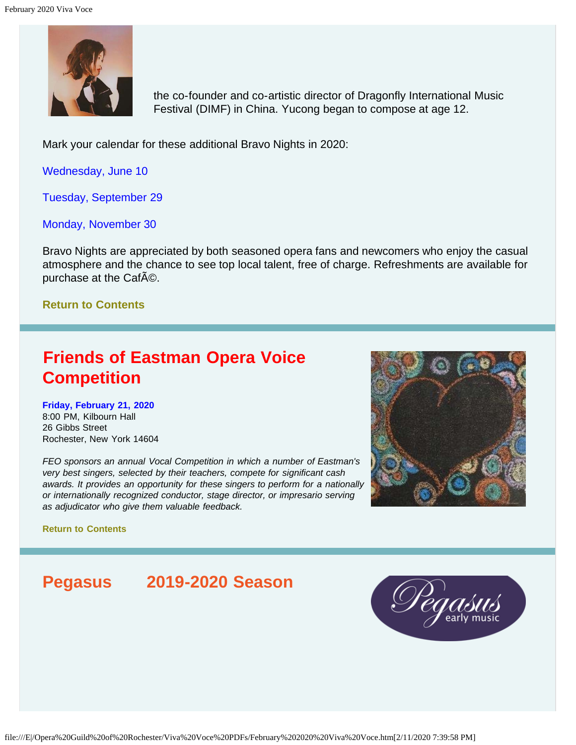

the co-founder and co-artistic director of Dragonfly International Music Festival (DIMF) in China. Yucong began to compose at age 12.

Mark your calendar for these additional Bravo Nights in 2020:

Wednesday, June 10

Tuesday, September 29

Monday, November 30

Bravo Nights are appreciated by both seasoned opera fans and newcomers who enjoy the casual atmosphere and the chance to see top local talent, free of charge. Refreshments are available for purchase at the CafAO.

## **[Return to Contents](#page-0-0)**

# <span id="page-3-0"></span>**Friends of Eastman Opera Voice Competition**

**Friday, February 21, 2020** 8:00 PM, Kilbourn Hall 26 Gibbs Street Rochester, New York 14604

*FEO sponsors an annual Vocal Competition in which a number of Eastman's very best singers, selected by their teachers, compete for significant cash awards. It provides an opportunity for these singers to perform for a nationally or internationally recognized conductor, stage director, or impresario serving as adjudicator who give them valuable feedback.*



**[Return to Contents](#page-0-0)**

# <span id="page-3-1"></span>**Pegasus 2019-2020 Season**

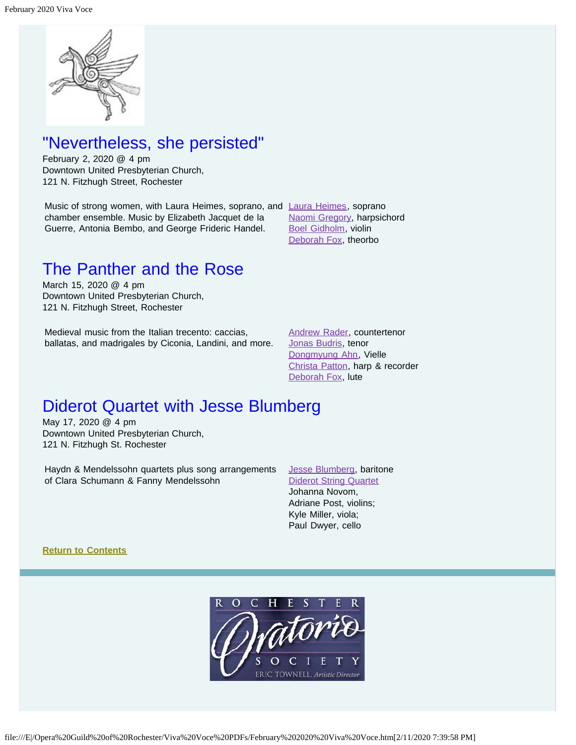

# "Nevertheless, she persisted"

February 2, 2020 @ 4 pm Downtown United Presbyterian Church, 121 N. Fitzhugh Street, Rochester

Music of strong women, with [Laura Heimes](https://www.pegasusearlymusic.org/artist/laura-heimes-2/), soprano, and Laura Heimes, soprano chamber ensemble. Music by Elizabeth Jacquet de la Guerre, Antonia Bembo, and George Frideric Handel.

[Naomi Gregory,](https://www.pegasusearlymusic.org/artist/naomi-gregory/) harpsichord [Boel Gidholm,](https://www.pegasusearlymusic.org/artist/boel-gidholm/) violin [Deborah Fox,](https://www.pegasusearlymusic.org/artist/deborah-fox/) theorbo

# The Panther and the Rose

March 15, 2020 @ 4 pm Downtown United Presbyterian Church, 121 N. Fitzhugh Street, Rochester

Medieval music from the Italian trecento: caccias, ballatas, and madrigales by Ciconia, Landini, and more. [Andrew Rader,](https://www.pegasusearlymusic.org/artist/andrew-rader/) countertenor [Jonas Budris,](https://www.pegasusearlymusic.org/artist/jonas-budris/) tenor [Dongmyung Ahn](https://www.pegasusearlymusic.org/artist/dongmyung-ahn/), Vielle [Christa Patton,](https://www.pegasusearlymusic.org/artist/christa-patton/) harp & recorder [Deborah Fox,](https://www.pegasusearlymusic.org/artist/deborah-fox/) lute

# Diderot Quartet with Jesse Blumberg

May 17, 2020 @ 4 pm Downtown United Presbyterian Church, 121 N. Fitzhugh St. Rochester

Haydn & Mendelssohn quartets plus song arrangements of Clara Schumann & Fanny Mendelssohn

[Jesse Blumberg](https://www.pegasusearlymusic.org/artist/jesse-blumberg/), baritone [Diderot String Quartet](https://www.pegasusearlymusic.org/artist/diderot-string-quartet/) Johanna Novom, Adriane Post, violins; Kyle Miller, viola; Paul Dwyer, cello

<span id="page-4-0"></span>**[Return to Contents](#page-0-0)**

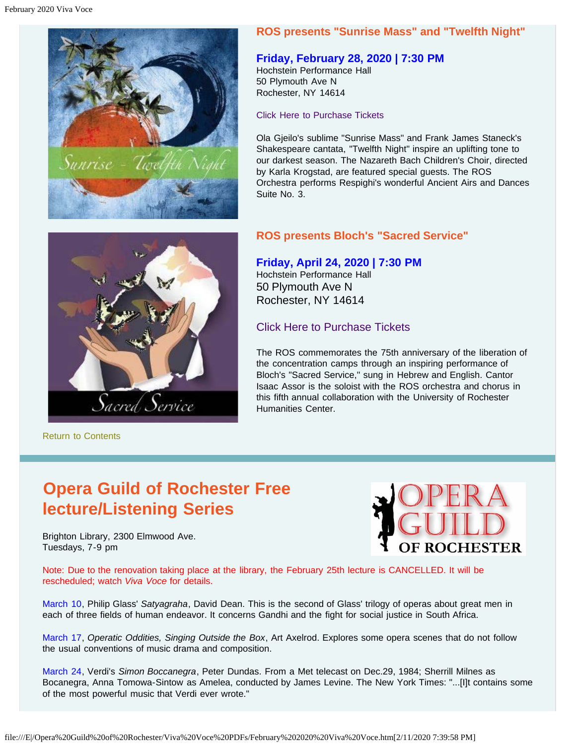

## **ROS presents "Sunrise Mass" and "Twelfth Night"**

## **Friday, February 28, 2020 | 7:30 PM**

Hochstein Performance Hall 50 Plymouth Ave N Rochester, NY 14614

Click Here to [Purchase Tickets](https://red.vendini.com/ticket-software.html?t=tix&e=ae00b5e20e59c143f437f9b38b5163f9)

Ola Gjeilo's sublime "Sunrise Mass" and Frank James Staneck's Shakespeare cantata, "Twelfth Night" inspire an uplifting tone to our darkest season. The Nazareth Bach Children's Choir, directed by Karla Krogstad, are featured special guests. The ROS Orchestra performs Respighi's wonderful Ancient Airs and Dances Suite No. 3.



[Return to Contents](#page-0-0)

## **ROS presents Bloch's "Sacred Service"**

## **Friday, April 24, 2020 | 7:30 PM**

Hochstein Performance Hall 50 Plymouth Ave N Rochester, NY 14614

## [Click Here to Purchase Tickets](https://tickets.vendini.com/ticket-software.html?t=tix&e=803944be2c01a48fa44bfdb7f0108179&vqitq=1bc33252-1e67-4e3c-883d-e5a706f4533e&vqitp=e6f92759-9692-45d2-891d-dd9ee79884db&vqitts=1580065950&vqitc=vendini&vqite=itl&vqitrt=Safetynet&vqith=8900e0fd1c40ffff87c3100b4bc18a63)

The ROS commemorates the 75th anniversary of the liberation of the concentration camps through an inspiring performance of Bloch's "Sacred Service," sung in Hebrew and English. Cantor Isaac Assor is the soloist with the ROS orchestra and chorus in this fifth annual collaboration with the University of Rochester Humanities Center.

# <span id="page-5-0"></span>**Opera Guild of Rochester Free lecture/Listening Series**

Brighton Library, 2300 Elmwood Ave. Tuesdays, 7-9 pm



Note: Due to the renovation taking place at the library, the February 25th lecture is CANCELLED. It will be rescheduled; watch *Viva Voce* for details.

March 10, Philip Glass' *Satyagraha*, David Dean. This is the second of Glass' trilogy of operas about great men in each of three fields of human endeavor. It concerns Gandhi and the fight for social justice in South Africa.

March 17, *Operatic Oddities, Singing Outside the Box*, Art Axelrod. Explores some opera scenes that do not follow the usual conventions of music drama and composition.

March 24, Verdi's *Simon Boccanegra*, Peter Dundas. From a Met telecast on Dec.29, 1984; Sherrill Milnes as Bocanegra, Anna Tomowa-Sintow as Amelea, conducted by James Levine. The New York Times: "...[I]t contains some of the most powerful music that Verdi ever wrote."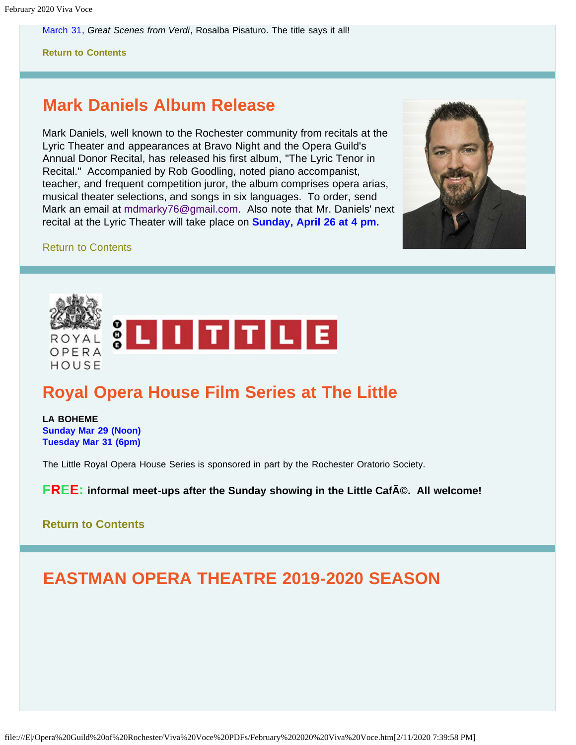March 31, *Great Scenes from Verdi*, Rosalba Pisaturo. The title says it all!

**[Return to Contents](#page-0-0)**

# <span id="page-6-0"></span>**Mark Daniels Album Release**

Mark Daniels, well known to the Rochester community from recitals at the Lyric Theater and appearances at Bravo Night and the Opera Guild's Annual Donor Recital, has released his first album, "The Lyric Tenor in Recital." Accompanied by Rob Goodling, noted piano accompanist, teacher, and frequent competition juror, the album comprises opera arias, musical theater selections, and songs in six languages. To order, send Mark an email at [mdmarky76@gmail.com](mailto:mdmarky76@gmail.com). Also note that Mr. Daniels' next recital at the Lyric Theater will take place on **Sunday, April 26 at 4 pm.**



#### [Return to Contents](#page-0-0)

<span id="page-6-1"></span>

# **Royal Opera House Film Series at The Little**

**LA BOHEME Sunday Mar 29 (Noon) Tuesday Mar 31 (6pm)**

The Little Royal Opera House Series is sponsored in part by the Rochester Oratorio Society.

**FREE:** informal meet-ups after the Sunday showing in the Little CafA©. All welcome!

## **[Return to Contents](#page-0-0)**

# <span id="page-6-2"></span>**EASTMAN OPERA THEATRE 2019-2020 SEASON**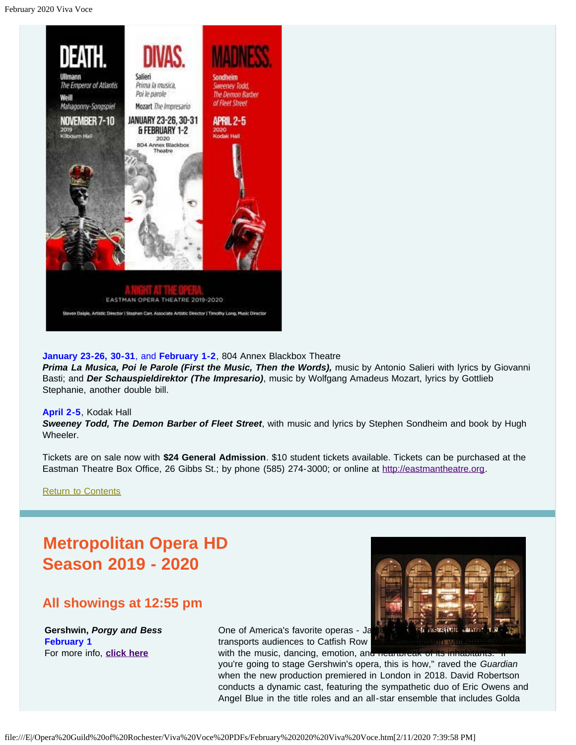

#### **January 23-26, 30-31**, and **February 1-2**, 804 Annex Blackbox Theatre

*Prima La Musica, Poi le Parole (First the Music, Then the Words),* music by Antonio Salieri with lyrics by Giovanni Basti; and *Der Schauspieldirektor (The Impresario)*, music by Wolfgang Amadeus Mozart, lyrics by Gottlieb Stephanie, another double bill.

#### **April 2-5**, Kodak Hall

*Sweeney Todd, The Demon Barber of Fleet Street*, with music and lyrics by Stephen Sondheim and book by Hugh Wheeler.

Tickets are on sale now with **\$24 General Admission**. \$10 student tickets available. Tickets can be purchased at the Eastman Theatre Box Office, 26 Gibbs St.; by phone (585) 274-3000; or online at [http://eastmantheatre.org](http://www.eastmantheatre.org/).

[Return to Contents](#page-0-0)

# <span id="page-7-0"></span>**Metropolitan Opera HD Season 2019 - 2020**

## **All showings at 12:55 pm**

**Gershwin,** *Porgy and Bess* **February 1**  For more info, **[click here](https://www.metopera.org/season/in-cinemas/2019-20-season/porgy-and-bess-live-in-hd/)**



One of America's favorite operas - Ja transports audiences to Catfish Row with the music, dancing, emotion, and heartbreak of

you're going to stage Gershwin's opera, this is how," raved the *Guardian* when the new production premiered in London in 2018. David Robertson conducts a dynamic cast, featuring the sympathetic duo of Eric Owens and Angel Blue in the title roles and an all-star ensemble that includes Golda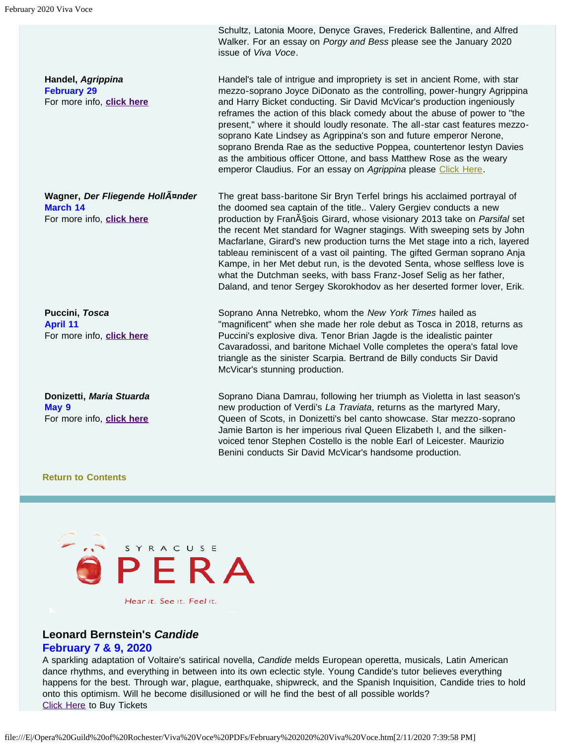**Handel,** *Agrippina*  **February 29**  For more info, **[click here](https://www.metopera.org/season/in-cinemas/2019-20-season/agrippina-live-in-hd/)**

**Wagner,** *Der Fliegende Holländer*  **March 14**  For more info, **[click here](https://www.metopera.org/season/in-cinemas/2019-20-season/der-fliegende-hollander-live-in-hd/)**

**Puccini,** *Tosca*  **April 11**  For more info, **[click here](https://www.metopera.org/season/in-cinemas/2019-20-season/tosca-live-in-hd/)**

**Donizetti,** *Maria Stuarda*  **May 9**  For more info, **[click here](https://www.metopera.org/season/in-cinemas/2019-20-season/maria-stuarda-live-in-hd/)**

Schultz, Latonia Moore, Denyce Graves, Frederick Ballentine, and Alfred Walker. For an essay on *Porgy and Bess* please see the January 2020 issue of *Viva Voce*.

Handel's tale of intrigue and impropriety is set in ancient Rome, with star mezzo-soprano Joyce DiDonato as the controlling, power-hungry Agrippina and Harry Bicket conducting. Sir David McVicar's production ingeniously reframes the action of this black comedy about the abuse of power to "the present," where it should loudly resonate. The all-star cast features mezzosoprano Kate Lindsey as Agrippina's son and future emperor Nerone, soprano Brenda Rae as the seductive Poppea, countertenor Iestyn Davies as the ambitious officer Ottone, and bass Matthew Rose as the weary emperor Claudius. For an essay on Agrippina please [Click Here](#page-11-1).

The great bass-baritone Sir Bryn Terfel brings his acclaimed portrayal of the doomed sea captain of the title.. Valery Gergiev conducts a new production by Fran<sub>AS</sub> ois Girard, whose visionary 2013 take on *Parsifal* set the recent Met standard for Wagner stagings. With sweeping sets by John Macfarlane, Girard's new production turns the Met stage into a rich, layered tableau reminiscent of a vast oil painting. The gifted German soprano Anja Kampe, in her Met debut run, is the devoted Senta, whose selfless love is what the Dutchman seeks, with bass Franz-Josef Selig as her father, Daland, and tenor Sergey Skorokhodov as her deserted former lover, Erik.

Soprano Anna Netrebko, whom the *New York Times* hailed as "magnificent" when she made her role debut as Tosca in 2018, returns as Puccini's explosive diva. Tenor Brian Jagde is the idealistic painter Cavaradossi, and baritone Michael Volle completes the opera's fatal love triangle as the sinister Scarpia. Bertrand de Billy conducts Sir David McVicar's stunning production.

Soprano Diana Damrau, following her triumph as Violetta in last season's new production of Verdi's *La Traviata*, returns as the martyred Mary, Queen of Scots, in Donizetti's bel canto showcase. Star mezzo-soprano Jamie Barton is her imperious rival Queen Elizabeth I, and the silkenvoiced tenor Stephen Costello is the noble Earl of Leicester. Maurizio Benini conducts Sir David McVicar's handsome production.

#### **[Return to Contents](#page-0-0)**

<span id="page-8-0"></span>

Hear it. See it. Feel it.

## **Leonard Bernstein's** *Candide*

#### **February 7 & 9, 2020**

A sparkling adaptation of Voltaire's satirical novella, *Candide* melds European operetta, musicals, Latin American dance rhythms, and everything in between into its own eclectic style. Young Candide's tutor believes everything happens for the best. Through war, plague, earthquake, shipwreck, and the Spanish Inquisition, Candide tries to hold onto this optimism. Will he become disillusioned or will he find the best of all possible worlds? [Click Here](https://www.syracuseopera.org/subscriptions) to Buy Tickets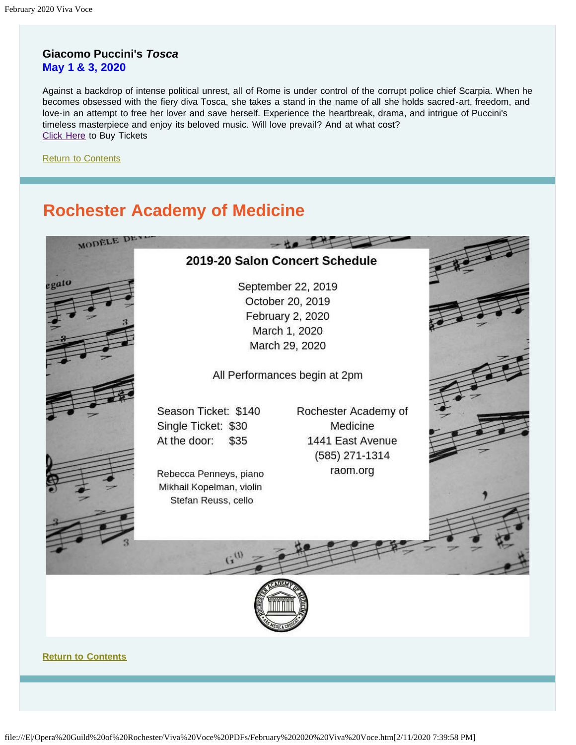## **Giacomo Puccini's** *Tosca* **May 1 & 3, 2020**

MODELE DE

Against a backdrop of intense political unrest, all of Rome is under control of the corrupt police chief Scarpia. When he becomes obsessed with the fiery diva Tosca, she takes a stand in the name of all she holds sacred-art, freedom, and love-in an attempt to free her lover and save herself. Experience the heartbreak, drama, and intrigue of Puccini's timeless masterpiece and enjoy its beloved music. Will love prevail? And at what cost? [Click Here](https://www.syracuseopera.org/subscriptions) to Buy Tickets

[Return to Contents](#page-0-0)

 $a$ att

# <span id="page-9-0"></span>**Rochester Academy of Medicine**



September 22, 2019 October 20, 2019 February 2, 2020 March 1, 2020 March 29, 2020

All Performances begin at 2pm

Season Ticket: \$140 Single Ticket: \$30 At the door: \$35

Rebecca Penneys, piano Mikhail Kopelman, violin Stefan Reuss, cello

Rochester Academy of Medicine 1441 East Avenue (585) 271-1314 raom.org





**[Return to Contents](#page-0-0)**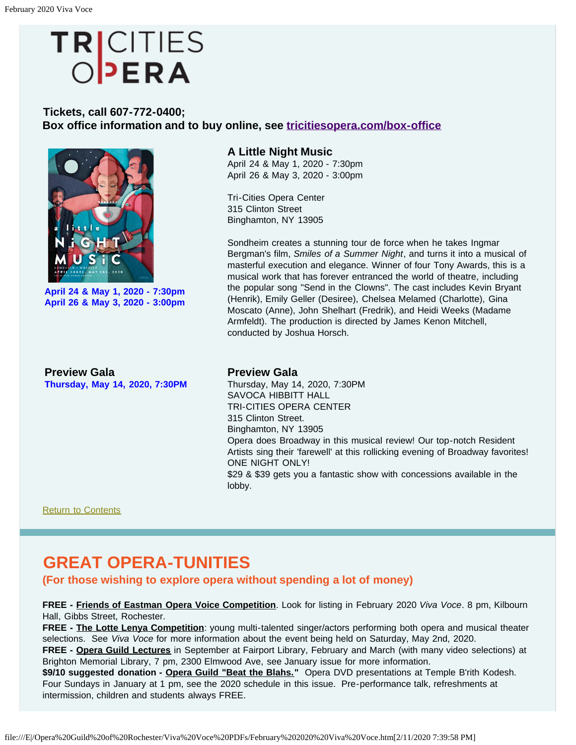# TRICITIES<br>OPERA

## <span id="page-10-0"></span>**Tickets, call 607-772-0400; Box office information and to buy online, see [tricitiesopera.com/box-office](http://tricitiesopera.com/box-office)**



**April 24 & May 1, 2020 - 7:30pm April 26 & May 3, 2020 - 3:00pm**

#### **A Little Night Music**

April 24 & May 1, 2020 - 7:30pm April 26 & May 3, 2020 - 3:00pm

Tri-Cities Opera Center 315 Clinton Street Binghamton, NY 13905

Sondheim creates a stunning tour de force when he takes Ingmar Bergman's film, *Smiles of a Summer Night*, and turns it into a musical of masterful execution and elegance. Winner of four Tony Awards, this is a musical work that has forever entranced the world of theatre, including the popular song "Send in the Clowns". The cast includes Kevin Bryant (Henrik), Emily Geller (Desiree), Chelsea Melamed (Charlotte), Gina Moscato (Anne), John Shelhart (Fredrik), and Heidi Weeks (Madame Armfeldt). The production is directed by James Kenon Mitchell, conducted by Joshua Horsch.

**Preview Gala Thursday, May 14, 2020, 7:30PM**

#### **Preview Gala**

Thursday, May 14, 2020, 7:30PM SAVOCA HIBBITT HALL TRI-CITIES OPERA CENTER 315 Clinton Street. Binghamton, NY 13905 Opera does Broadway in this musical review! Our top-notch Resident Artists sing their 'farewell' at this rollicking evening of Broadway favorites! ONE NIGHT ONLY! \$29 & \$39 gets you a fantastic show with concessions available in the lobby.

[Return to Contents](#page-0-0)

# <span id="page-10-1"></span>**GREAT OPERA-TUNITIES**

**(For those wishing to explore opera without spending a lot of money)**

**FREE - Friends of Eastman Opera Voice Competition**. Look for listing in February 2020 *Viva Voce*. 8 pm, Kilbourn Hall, Gibbs Street, Rochester.

**FREE - The Lotte Lenya Competition**: young multi-talented singer/actors performing both opera and musical theater selections. See *Viva Voce* for more information about the event being held on Saturday, May 2nd, 2020.

**FREE - Opera Guild Lectures** in September at Fairport Library, February and March (with many video selections) at Brighton Memorial Library, 7 pm, 2300 Elmwood Ave, see January issue for more information.

\$9/10 suggested donation - Opera Guild "Beat the Blahs." Opera DVD presentations at Temple B'rith Kodesh. Four Sundays in January at 1 pm, see the 2020 schedule in this issue. Pre-performance talk, refreshments at intermission, children and students always FREE.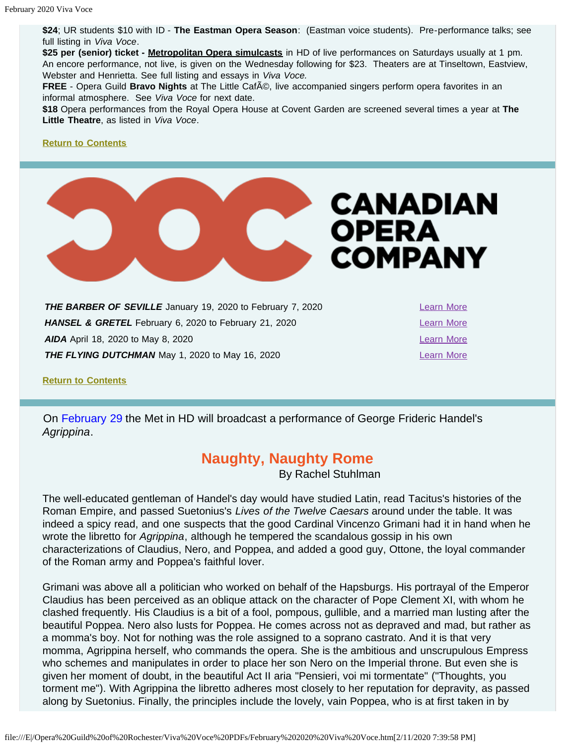**\$24**; UR students \$10 with ID - **The Eastman Opera Season**: (Eastman voice students). Pre-performance talks; see full listing in *Viva Voce*.

**\$25 per (senior) ticket - Metropolitan Opera simulcasts** in HD of live performances on Saturdays usually at 1 pm. An encore performance, not live, is given on the Wednesday following for \$23. Theaters are at Tinseltown, Eastview, Webster and Henrietta. See full listing and essays in *Viva Voce.*

**FREE** - Opera Guild **Bravo Nights** at The Little Caf<sub>A</sub><sup>®</sup>, live accompanied singers perform opera favorites in an informal atmosphere. See *Viva Voce* for next date.

**\$18** Opera performances from the Royal Opera House at Covent Garden are screened several times a year at **The Little Theatre**, as listed in *Viva Voce*.

#### **[Return to Contents](#page-0-0)**



<span id="page-11-0"></span>**THE BARBER OF SEVILLE** January 19, 2020 to February 7, 2020 **HANSEL & GRETEL** February 6, 2020 to February 21, 2020 **[Learn More](https://www.coc.ca/productions/18719) AIDA** April 18, 2020 to May 8, 2020 **THE FLYING DUTCHMAN** May 1, 2020 to May 16, 2020

**[Return to Contents](#page-0-0)**

<span id="page-11-1"></span>On February 29 the Met in HD will broadcast a performance of George Frideric Handel's *Agrippina*.

## **Naughty, Naughty Rome**

By Rachel Stuhlman

The well-educated gentleman of Handel's day would have studied Latin, read Tacitus's histories of the Roman Empire, and passed Suetonius's *Lives of the Twelve Caesars* around under the table. It was indeed a spicy read, and one suspects that the good Cardinal Vincenzo Grimani had it in hand when he wrote the libretto for *Agrippina*, although he tempered the scandalous gossip in his own characterizations of Claudius, Nero, and Poppea, and added a good guy, Ottone, the loyal commander of the Roman army and Poppea's faithful lover.

Grimani was above all a politician who worked on behalf of the Hapsburgs. His portrayal of the Emperor Claudius has been perceived as an oblique attack on the character of Pope Clement XI, with whom he clashed frequently. His Claudius is a bit of a fool, pompous, gullible, and a married man lusting after the beautiful Poppea. Nero also lusts for Poppea. He comes across not as depraved and mad, but rather as a momma's boy. Not for nothing was the role assigned to a soprano castrato. And it is that very momma, Agrippina herself, who commands the opera. She is the ambitious and unscrupulous Empress who schemes and manipulates in order to place her son Nero on the Imperial throne. But even she is given her moment of doubt, in the beautiful Act II aria "Pensieri, voi mi tormentate" ("Thoughts, you torment me"). With Agrippina the libretto adheres most closely to her reputation for depravity, as passed along by Suetonius. Finally, the principles include the lovely, vain Poppea, who is at first taken in by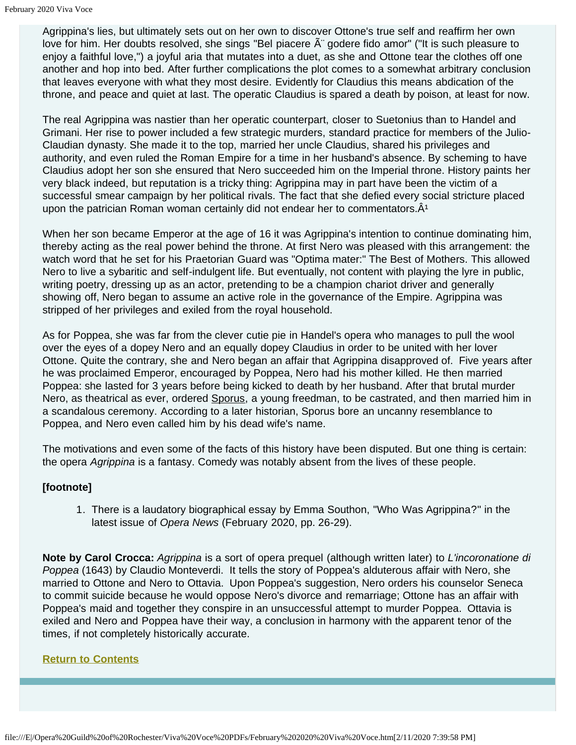Agrippina's lies, but ultimately sets out on her own to discover Ottone's true self and reaffirm her own love for him. Her doubts resolved, she sings "Bel piacere  $\tilde{A}$ " godere fido amor" ("It is such pleasure to enjoy a faithful love,") a joyful aria that mutates into a duet, as she and Ottone tear the clothes off one another and hop into bed. After further complications the plot comes to a somewhat arbitrary conclusion that leaves everyone with what they most desire. Evidently for Claudius this means abdication of the throne, and peace and quiet at last. The operatic Claudius is spared a death by poison, at least for now.

The real Agrippina was nastier than her operatic counterpart, closer to Suetonius than to Handel and Grimani. Her rise to power included a few strategic murders, standard practice for members of the Julio-Claudian dynasty. She made it to the top, married her uncle Claudius, shared his privileges and authority, and even ruled the Roman Empire for a time in her husband's absence. By scheming to have Claudius adopt her son she ensured that Nero succeeded him on the Imperial throne. History paints her very black indeed, but reputation is a tricky thing: Agrippina may in part have been the victim of a successful smear campaign by her political rivals. The fact that she defied every social stricture placed upon the patrician Roman woman certainly did not endear her to commentators. $\hat{A}^1$ 

When her son became Emperor at the age of 16 it was Agrippina's intention to continue dominating him, thereby acting as the real power behind the throne. At first Nero was pleased with this arrangement: the watch word that he set for his Praetorian Guard was "Optima mater:" The Best of Mothers. This allowed Nero to live a sybaritic and self-indulgent life. But eventually, not content with playing the lyre in public, writing poetry, dressing up as an actor, pretending to be a champion chariot driver and generally showing off, Nero began to assume an active role in the governance of the Empire. Agrippina was stripped of her privileges and exiled from the royal household.

As for Poppea, she was far from the clever cutie pie in Handel's opera who manages to pull the wool over the eyes of a dopey Nero and an equally dopey Claudius in order to be united with her lover Ottone. Quite the contrary, she and Nero began an affair that Agrippina disapproved of. Five years after he was proclaimed Emperor, encouraged by Poppea, Nero had his mother killed. He then married Poppea: she lasted for 3 years before being kicked to death by her husband. After that brutal murder Nero, as theatrical as ever, ordered Sporus, a young freedman, to be castrated, and then married him in a scandalous ceremony. According to a later historian, Sporus bore an uncanny resemblance to Poppea, and Nero even called him by his dead wife's name.

The motivations and even some of the facts of this history have been disputed. But one thing is certain: the opera *Agrippina* is a fantasy. Comedy was notably absent from the lives of these people.

## **[footnote]**

1. There is a laudatory biographical essay by Emma Southon, "Who Was Agrippina?" in the latest issue of *Opera News* (February 2020, pp. 26-29).

**Note by Carol Crocca:** *Agrippina* is a sort of opera prequel (although written later) to *L'incoronatione di Poppea* (1643) by Claudio Monteverdi. It tells the story of Poppea's alduterous affair with Nero, she married to Ottone and Nero to Ottavia. Upon Poppea's suggestion, Nero orders his counselor Seneca to commit suicide because he would oppose Nero's divorce and remarriage; Ottone has an affair with Poppea's maid and together they conspire in an unsuccessful attempt to murder Poppea. Ottavia is exiled and Nero and Poppea have their way, a conclusion in harmony with the apparent tenor of the times, if not completely historically accurate.

#### <span id="page-12-0"></span>**[Return to Contents](#page-0-0)**